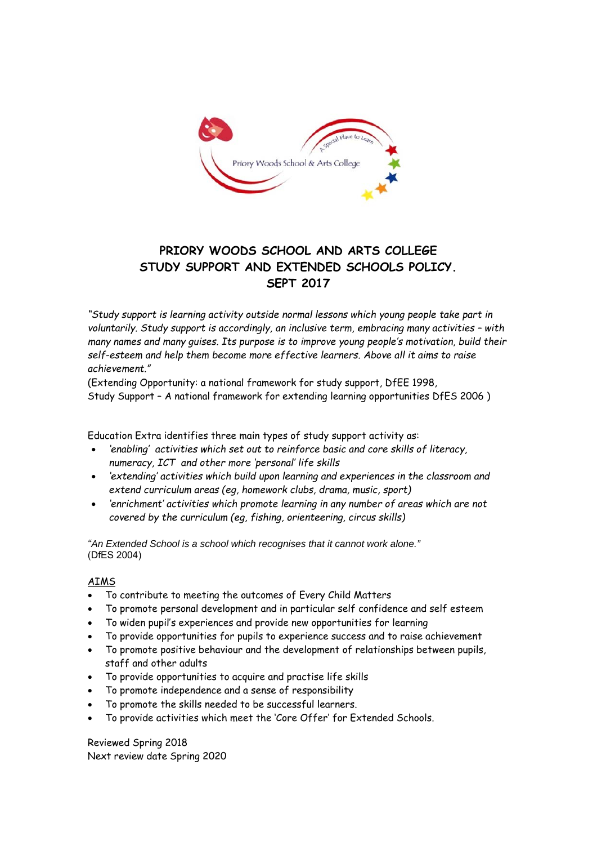

# **PRIORY WOODS SCHOOL AND ARTS COLLEGE STUDY SUPPORT AND EXTENDED SCHOOLS POLICY. SEPT 2017**

*"Study support is learning activity outside normal lessons which young people take part in voluntarily. Study support is accordingly, an inclusive term, embracing many activities – with many names and many guises. Its purpose is to improve young people's motivation, build their self-esteem and help them become more effective learners. Above all it aims to raise achievement."* 

(Extending Opportunity: a national framework for study support, DfEE 1998, Study Support – A national framework for extending learning opportunities DfES 2006 )

Education Extra identifies three main types of study support activity as:

- *'enabling' activities which set out to reinforce basic and core skills of literacy, numeracy, ICT and other more 'personal' life skills*
- *'extending' activities which build upon learning and experiences in the classroom and extend curriculum areas (eg, homework clubs, drama, music, sport)*
- *'enrichment' activities which promote learning in any number of areas which are not covered by the curriculum (eg, fishing, orienteering, circus skills)*

*"An Extended School is a school which recognises that it cannot work alone."*  (DfES 2004)

# AIMS

- To contribute to meeting the outcomes of Every Child Matters
- To promote personal development and in particular self confidence and self esteem
- To widen pupil's experiences and provide new opportunities for learning
- To provide opportunities for pupils to experience success and to raise achievement
- To promote positive behaviour and the development of relationships between pupils, staff and other adults
- To provide opportunities to acquire and practise life skills
- To promote independence and a sense of responsibility
- To promote the skills needed to be successful learners.
- To provide activities which meet the 'Core Offer' for Extended Schools.

Reviewed Spring 2018 Next review date Spring 2020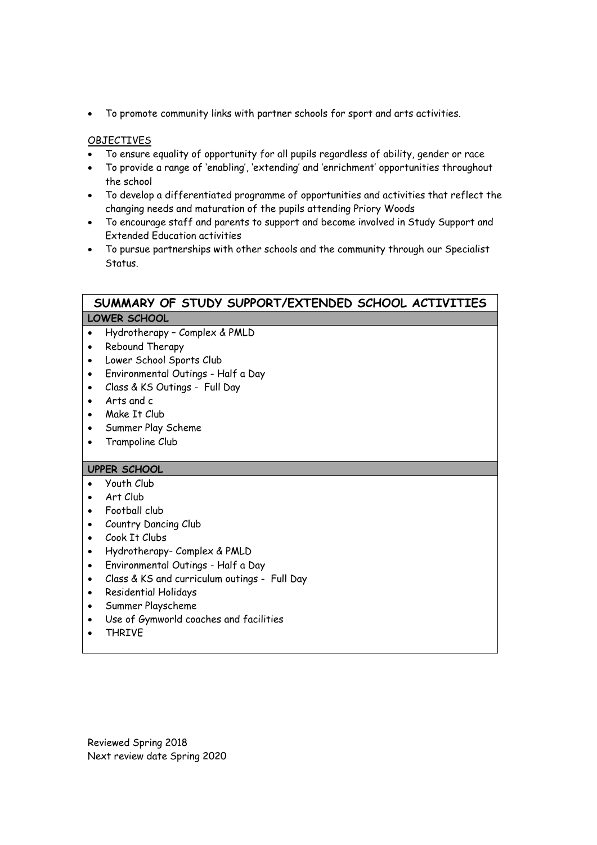To promote community links with partner schools for sport and arts activities.

## OBJECTIVES

- To ensure equality of opportunity for all pupils regardless of ability, gender or race
- To provide a range of 'enabling', 'extending' and 'enrichment' opportunities throughout the school
- To develop a differentiated programme of opportunities and activities that reflect the changing needs and maturation of the pupils attending Priory Woods
- To encourage staff and parents to support and become involved in Study Support and Extended Education activities
- To pursue partnerships with other schools and the community through our Specialist **Status**

# **SUMMARY OF STUDY SUPPORT/EXTENDED SCHOOL ACTIVITIES LOWER SCHOOL**

- Hydrotherapy Complex & PMLD
- Rebound Therapy
- Lower School Sports Club
- Environmental Outings Half a Day
- Class & KS Outings Full Day
- Arts and c
- Make It Club
- Summer Play Scheme
- Trampoline Club

#### **UPPER SCHOOL**

- Youth Club
- Art Club
- Football club
- Country Dancing Club
- Cook It Clubs
- Hydrotherapy- Complex & PMLD
- Environmental Outings Half a Day
- Class & KS and curriculum outings Full Day
- Residential Holidays
- Summer Playscheme
- Use of Gymworld coaches and facilities
- THRIVE

Reviewed Spring 2018 Next review date Spring 2020